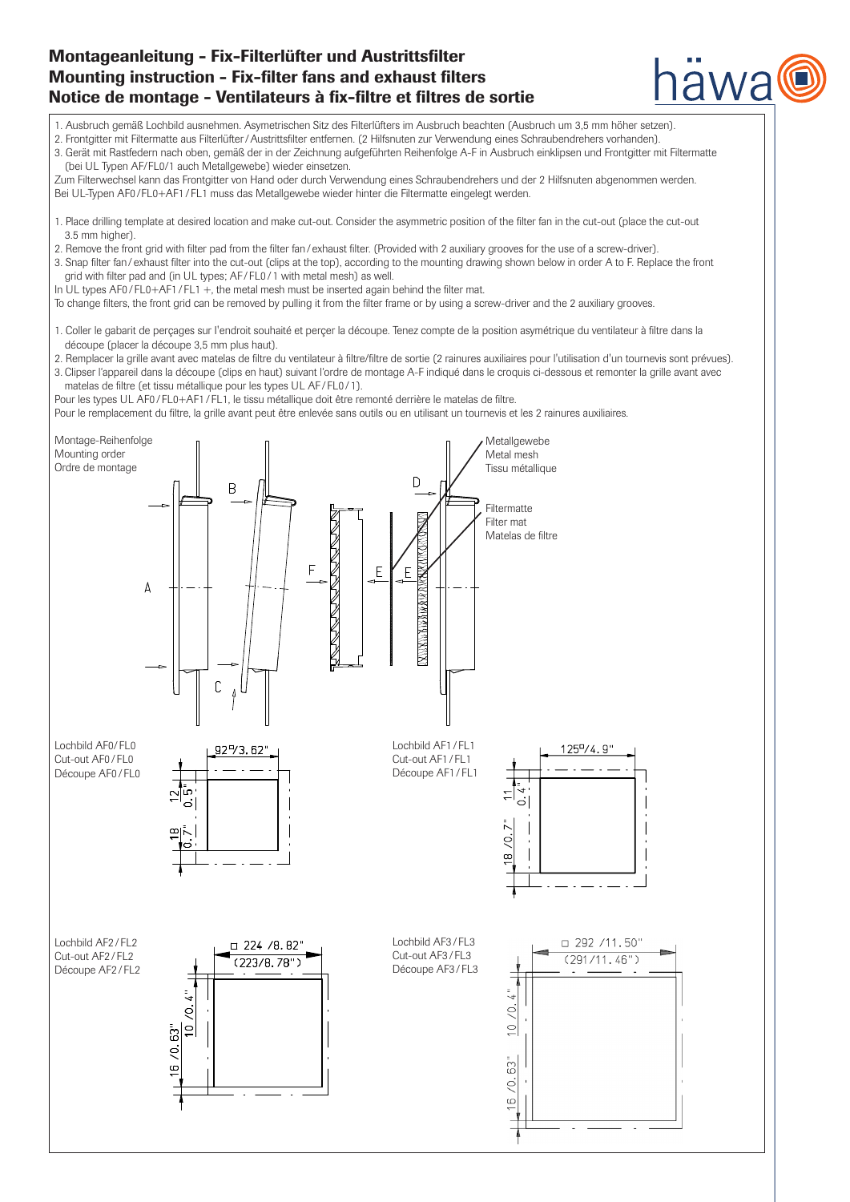# Montageanleitung - Fix-Filterlüfter und Austrittsfilter Mounting instruction - Fix-filter fans and exhaust filters Notice de montage - Ventilateurs à fix-filtre et filtres de sortie

1. Ausbruch gemäß Lochbild ausnehmen. Asymetrischen Sitz des Filterlüfters im Ausbruch beachten (Ausbruch um 3,5 mm höher setzen).

2. Frontgitter mit Filtermatte aus Filterlüfter/Austrittsfilter entfernen. (2 Hilfsnuten zur Verwendung eines Schraubendrehers vorhanden).

3. Gerät mit Rastfedern nach oben, gemäß der in der Zeichnung aufgeführten Reihenfolge A-F in Ausbruch einklipsen und Frontgitter mit Filtermatte (bei UL Typen AF/FL0/1 auch Metallgewebe) wieder einsetzen.

awa

Zum Filterwechsel kann das Frontgitter von Hand oder durch Verwendung eines Schraubendrehers und der 2 Hilfsnuten abgenommen werden. Bei UL-Typen AF0 /FL0+AF1/ FL1 muss das Metallgewebe wieder hinter die Filtermatte eingelegt werden.

- 1. Place drilling template at desired location and make cut-out. Consider the asymmetric position of the filter fan in the cut-out (place the cut-out 3.5 mm higher).
- 2. Remove the front grid with filter pad from the filter fan / exhaust filter. (Provided with 2 auxiliary grooves for the use of a screw-driver).
- 3. Snap filter fan/ exhaust filter into the cut-out (clips at the top), according to the mounting drawing shown below in order A to F. Replace the front grid with filter pad and (in UL types; AF / FL0 / 1 with metal mesh) as well.
- In UL types AF0/FL0+AF1/FL1 +, the metal mesh must be inserted again behind the filter mat.
- To change filters, the front grid can be removed by pulling it from the filter frame or by using a screw-driver and the 2 auxiliary grooves.
- 1. Coller le gabarit de perçages sur I'endroit souhaité et perçer la découpe. Tenez compte de la position asymétrique du ventilateur à filtre dans la découpe (placer la découpe 3,5 mm plus haut).
- 2. Remplacer la grille avant avec matelas de filtre du ventilateur à filtre/filtre de sortie (2 rainures auxiliaires pour l'utilisation d'un tournevis sont prévues).
- 3. Clipser l'appareil dans la découpe (clips en haut) suivant l'ordre de montage A-F indiqué dans le croquis ci-dessous et remonter la grille avant avec matelas de filtre (et tissu métallique pour les types UL AF / FL0 / 1).

Pour les types UL AF0/FL0+AF1/FL1, le tissu métallique doit être remonté derrière le matelas de filtre.

Pour le remplacement du filtre, la grille avant peut être enlevée sans outils ou en utilisant un tournevis et les 2 rainures auxiliaires.